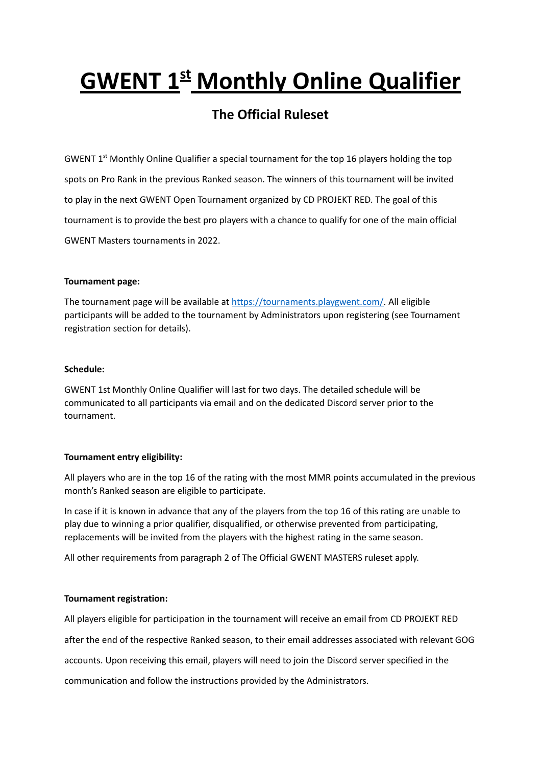# **GWENT 1 st Monthly Online Qualifier**

# **The Official Ruleset**

GWENT 1<sup>st</sup> Monthly Online Qualifier a special tournament for the top 16 players holding the top spots on Pro Rank in the previous Ranked season. The winners of this tournament will be invited to play in the next GWENT Open Tournament organized by CD PROJEKT RED. The goal of this tournament is to provide the best pro players with a chance to qualify for one of the main official GWENT Masters tournaments in 2022.

#### **Tournament page:**

The tournament page will be available at [https://tournaments.playgwent.com/.](https://tournaments.playgwent.com/) All eligible participants will be added to the tournament by Administrators upon registering (see Tournament registration section for details).

### **Schedule:**

GWENT 1st Monthly Online Qualifier will last for two days. The detailed schedule will be communicated to all participants via email and on the dedicated Discord server prior to the tournament.

# **Tournament entry eligibility:**

All players who are in the top 16 of the rating with the most MMR points accumulated in the previous month's Ranked season are eligible to participate.

In case if it is known in advance that any of the players from the top 16 of this rating are unable to play due to winning a prior qualifier, disqualified, or otherwise prevented from participating, replacements will be invited from the players with the highest rating in the same season.

All other requirements from paragraph 2 of The Official GWENT MASTERS ruleset apply.

# **Tournament registration:**

All players eligible for participation in the tournament will receive an email from CD PROJEKT RED

after the end of the respective Ranked season, to their email addresses associated with relevant GOG

accounts. Upon receiving this email, players will need to join the Discord server specified in the

communication and follow the instructions provided by the Administrators.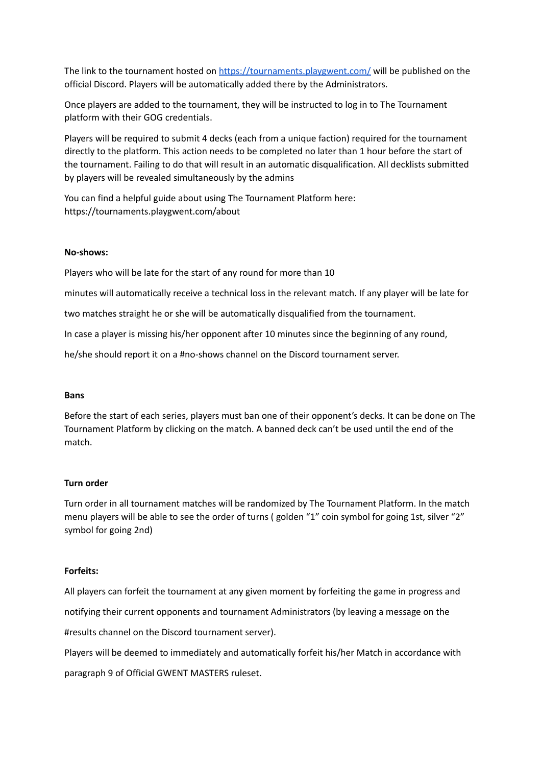The link to the tournament hosted on <https://tournaments.playgwent.com/> will be published on the official Discord. Players will be automatically added there by the Administrators.

Once players are added to the tournament, they will be instructed to log in to The Tournament platform with their GOG credentials.

Players will be required to submit 4 decks (each from a unique faction) required for the tournament directly to the platform. This action needs to be completed no later than 1 hour before the start of the tournament. Failing to do that will result in an automatic disqualification. All decklists submitted by players will be revealed simultaneously by the admins

You can find a helpful guide about using The Tournament Platform here: https://tournaments.playgwent.com/about

#### **No-shows:**

Players who will be late for the start of any round for more than 10

minutes will automatically receive a technical loss in the relevant match. If any player will be late for

two matches straight he or she will be automatically disqualified from the tournament.

In case a player is missing his/her opponent after 10 minutes since the beginning of any round,

he/she should report it on a #no-shows channel on the Discord tournament server.

#### **Bans**

Before the start of each series, players must ban one of their opponent's decks. It can be done on The Tournament Platform by clicking on the match. A banned deck can't be used until the end of the match.

#### **Turn order**

Turn order in all tournament matches will be randomized by The Tournament Platform. In the match menu players will be able to see the order of turns ( golden "1" coin symbol for going 1st, silver "2" symbol for going 2nd)

#### **Forfeits:**

All players can forfeit the tournament at any given moment by forfeiting the game in progress and notifying their current opponents and tournament Administrators (by leaving a message on the

#results channel on the Discord tournament server).

Players will be deemed to immediately and automatically forfeit his/her Match in accordance with

paragraph 9 of Official GWENT MASTERS ruleset.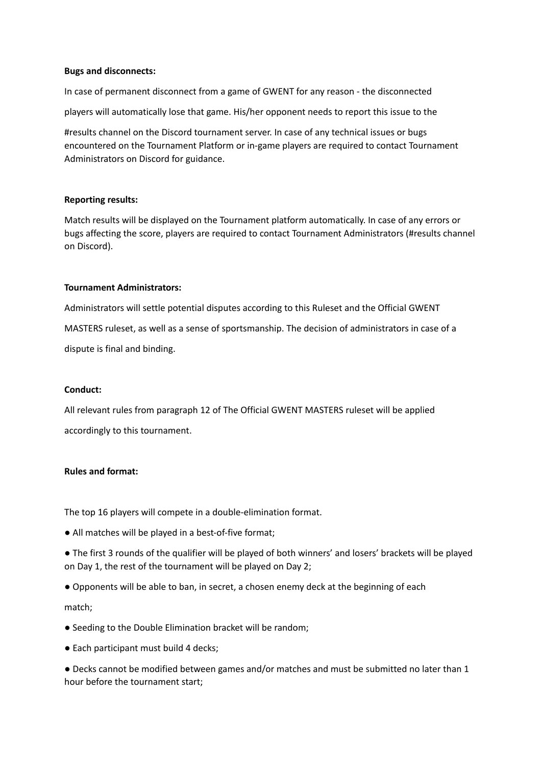#### **Bugs and disconnects:**

In case of permanent disconnect from a game of GWENT for any reason - the disconnected players will automatically lose that game. His/her opponent needs to report this issue to the

#results channel on the Discord tournament server. In case of any technical issues or bugs encountered on the Tournament Platform or in-game players are required to contact Tournament Administrators on Discord for guidance.

#### **Reporting results:**

Match results will be displayed on the Tournament platform automatically. In case of any errors or bugs affecting the score, players are required to contact Tournament Administrators (#results channel on Discord).

#### **Tournament Administrators:**

Administrators will settle potential disputes according to this Ruleset and the Official GWENT MASTERS ruleset, as well as a sense of sportsmanship. The decision of administrators in case of a dispute is final and binding.

#### **Conduct:**

All relevant rules from paragraph 12 of The Official GWENT MASTERS ruleset will be applied accordingly to this tournament.

#### **Rules and format:**

The top 16 players will compete in a double-elimination format.

- All matches will be played in a best-of-five format;
- The first 3 rounds of the qualifier will be played of both winners' and losers' brackets will be played on Day 1, the rest of the tournament will be played on Day 2;
- Opponents will be able to ban, in secret, a chosen enemy deck at the beginning of each

#### match;

- Seeding to the Double Elimination bracket will be random;
- Each participant must build 4 decks;

● Decks cannot be modified between games and/or matches and must be submitted no later than 1 hour before the tournament start;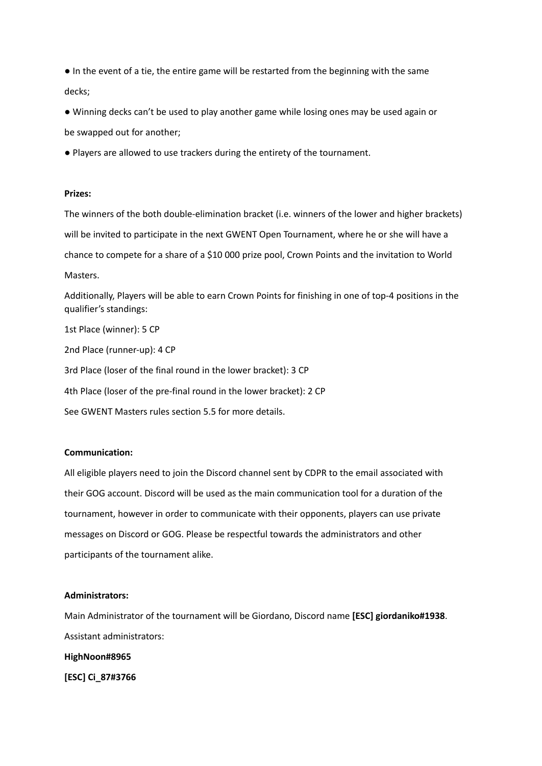● In the event of a tie, the entire game will be restarted from the beginning with the same decks;

● Winning decks can't be used to play another game while losing ones may be used again or be swapped out for another;

● Players are allowed to use trackers during the entirety of the tournament.

#### **Prizes:**

The winners of the both double-elimination bracket (i.e. winners of the lower and higher brackets) will be invited to participate in the next GWENT Open Tournament, where he or she will have a chance to compete for a share of a \$10 000 prize pool, Crown Points and the invitation to World Masters.

Additionally, Players will be able to earn Crown Points for finishing in one of top-4 positions in the qualifier's standings:

1st Place (winner): 5 CP

2nd Place (runner-up): 4 CP

3rd Place (loser of the final round in the lower bracket): 3 CP

4th Place (loser of the pre-final round in the lower bracket): 2 CP

See GWENT Masters rules section 5.5 for more details.

#### **Communication:**

All eligible players need to join the Discord channel sent by CDPR to the email associated with their GOG account. Discord will be used as the main communication tool for a duration of the tournament, however in order to communicate with their opponents, players can use private messages on Discord or GOG. Please be respectful towards the administrators and other participants of the tournament alike.

#### **Administrators:**

Main Administrator of the tournament will be Giordano, Discord name **[ESC] giordaniko#1938**. Assistant administrators:

**HighNoon#8965**

**[ESC] Ci\_87#3766**